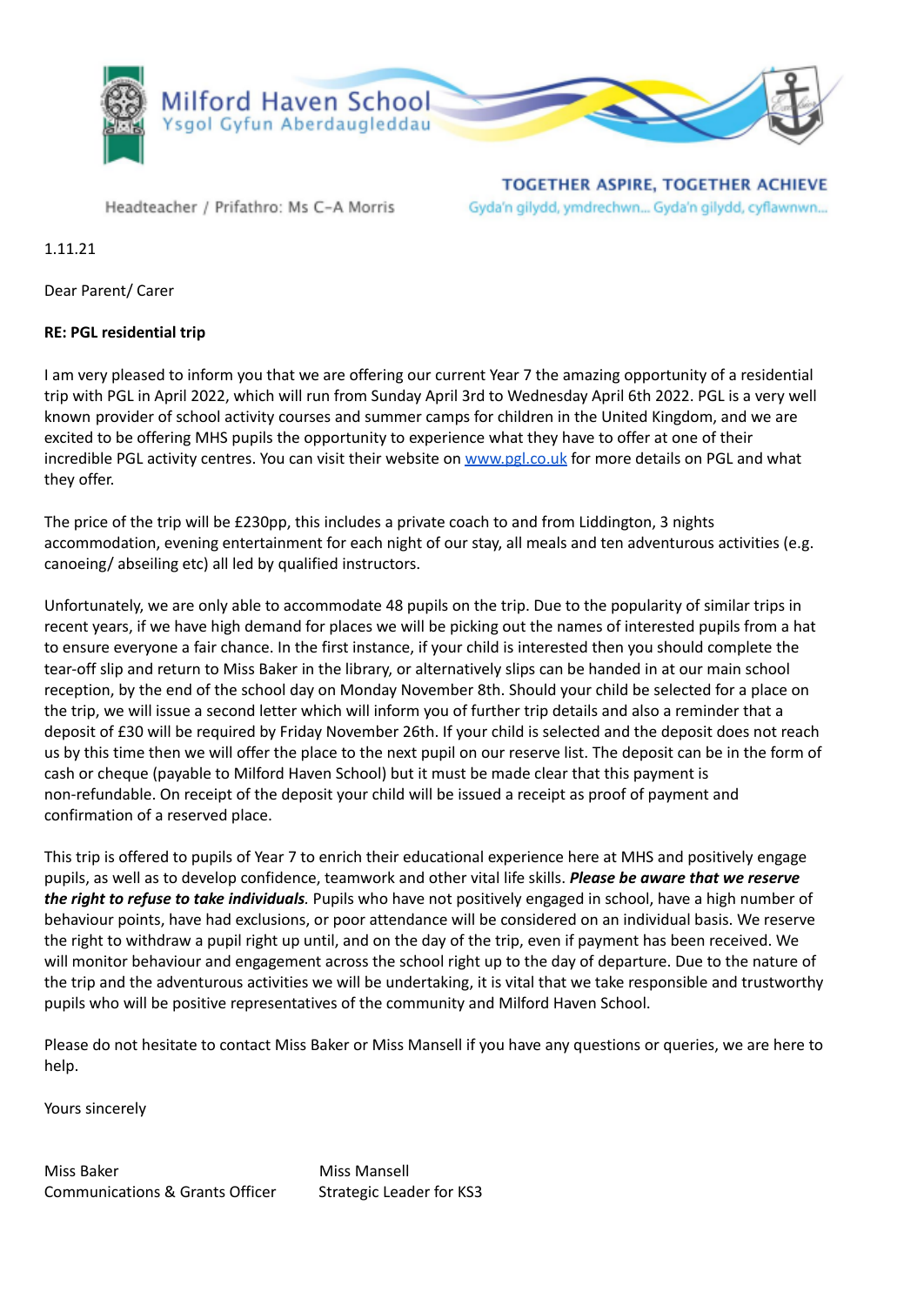

Headteacher / Prifathro: Ms C-A Morris

**TOGETHER ASPIRE, TOGETHER ACHIEVE** Gyda'n gilydd, ymdrechwn... Gyda'n gilydd, cyflawnwn...

1.11.21

Dear Parent/ Carer

## **RE: PGL residential trip**

I am very pleased to inform you that we are offering our current Year 7 the amazing opportunity of a residential trip with PGL in April 2022, which will run from Sunday April 3rd to Wednesday April 6th 2022. PGL is a very well known provider of school activity courses and summer camps for children in the United Kingdom, and we are excited to be offering MHS pupils the opportunity to experience what they have to offer at one of their incredible PGL activity centres. You can visit their website on [www.pgl.co.uk](http://www.pgl.co.uk) for more details on PGL and what they offer.

The price of the trip will be £230pp, this includes a private coach to and from Liddington, 3 nights accommodation, evening entertainment for each night of our stay, all meals and ten adventurous activities (e.g. canoeing/ abseiling etc) all led by qualified instructors.

Unfortunately, we are only able to accommodate 48 pupils on the trip. Due to the popularity of similar trips in recent years, if we have high demand for places we will be picking out the names of interested pupils from a hat to ensure everyone a fair chance. In the first instance, if your child is interested then you should complete the tear-off slip and return to Miss Baker in the library, or alternatively slips can be handed in at our main school reception, by the end of the school day on Monday November 8th. Should your child be selected for a place on the trip, we will issue a second letter which will inform you of further trip details and also a reminder that a deposit of £30 will be required by Friday November 26th. If your child is selected and the deposit does not reach us by this time then we will offer the place to the next pupil on our reserve list. The deposit can be in the form of cash or cheque (payable to Milford Haven School) but it must be made clear that this payment is non-refundable. On receipt of the deposit your child will be issued a receipt as proof of payment and confirmation of a reserved place.

This trip is offered to pupils of Year 7 to enrich their educational experience here at MHS and positively engage pupils, as well as to develop confidence, teamwork and other vital life skills. *Please be aware that we reserve the right to refuse to take individuals.* Pupils who have not positively engaged in school, have a high number of behaviour points, have had exclusions, or poor attendance will be considered on an individual basis. We reserve the right to withdraw a pupil right up until, and on the day of the trip, even if payment has been received. We will monitor behaviour and engagement across the school right up to the day of departure. Due to the nature of the trip and the adventurous activities we will be undertaking, it is vital that we take responsible and trustworthy pupils who will be positive representatives of the community and Milford Haven School.

Please do not hesitate to contact Miss Baker or Miss Mansell if you have any questions or queries, we are here to help.

Yours sincerely

Miss Baker Miss Mansell Communications & Grants Officer Strategic Leader for KS3